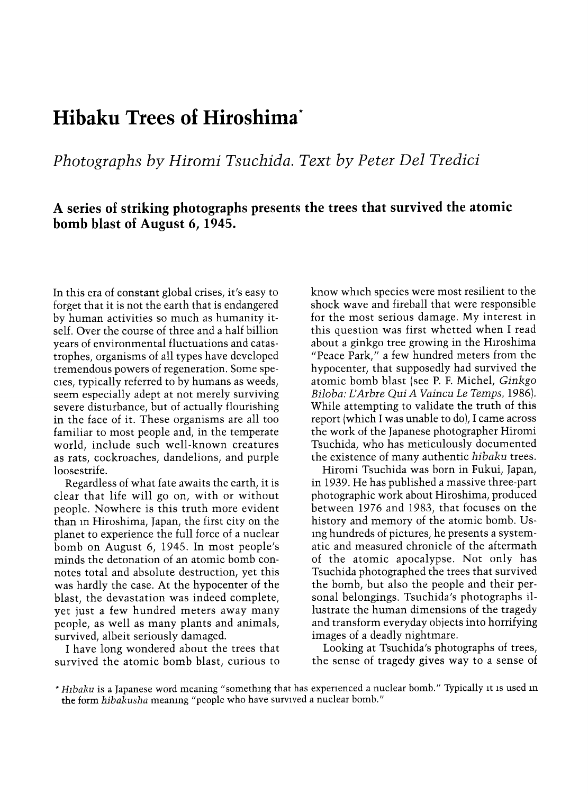## Hibaku Trees of Hiroshima\*

Photographs by Hiromi Tsuchida. Text by Peter Del Tredici

## A series of striking photographs presents the trees that survived the atomic bomb blast of August 6, 1945.

In this era of constant global crises, it's easy to forget that it is not the earth that is endangered by human activities so much as humanity itself. Over the course of three and a half billion years of environmental fluctuations and catastrophes, organisms of all types have developed tremendous powers of regeneration. Some species, typically referred to by humans as weeds, seem especially adept at not merely surviving severe disturbance, but of actually flourishing in the face of it. These organisms are all too familiar to most people and, in the temperate world, include such well-known creatures as rats, cockroaches, dandelions, and purple loosestrife.

Regardless of what fate awaits the earth, it is clear that life will go on, with or without people. Nowhere is this truth more evident than in Hiroshima, Japan, the first city on the planet to experience the full force of a nuclear bomb on August 6, 1945. In most people's minds the detonation of an atomic bomb connotes total and absolute destruction, yet this was hardly the case. At the hypocenter of the blast, the devastation was indeed complete, yet just a few hundred meters away many people, as well as many plants and animals, survived, albeit seriously damaged.

I have long wondered about the trees that survived the atomic bomb blast, curious to

know which species were most resilient to the shock wave and fireball that were responsible for the most serious damage. My interest in this question was first whetted when I read about a ginkgo tree growing in the Hiroshima "Peace Park," a few hundred meters from the hypocenter, that supposedly had survived the atomic bomb blast (see P. F. Michel, Ginkgo Biloba: L'Arbre Qui A Vaincu Le Temps, 1986). While attempting to validate the truth of this report (which I was unable to do), I came across the work of the Japanese photographer Hiromi Tsuchida, who has meticulously documented the existence of many authentic hibaku trees.

Hiromi Tsuchida was born in Fukui, Japan, in 1939. He has published a massive three-part photographic work about Hiroshima, produced between 1976 and 1983, that focuses on the history and memory of the atomic bomb. Using hundreds of pictures, he presents a systematic and measured chronicle of the aftermath of the atomic apocalypse. Not only has Tsuchida photographed the trees that survived the bomb, but also the people and their personal belongings. Tsuchida's photographs illustrate the human dimensions of the tragedy and transform everyday objects into horrifying images of a deadly nightmare.

Looking at Tsuchida's photographs of trees, the sense of tragedy gives way to a sense of

<sup>\*</sup> Hibaku is a Japanese word meaning "something that has experienced a nuclear bomb." Typically it is used in the form hibakusha meaning "people who have survived a nuclear bomb."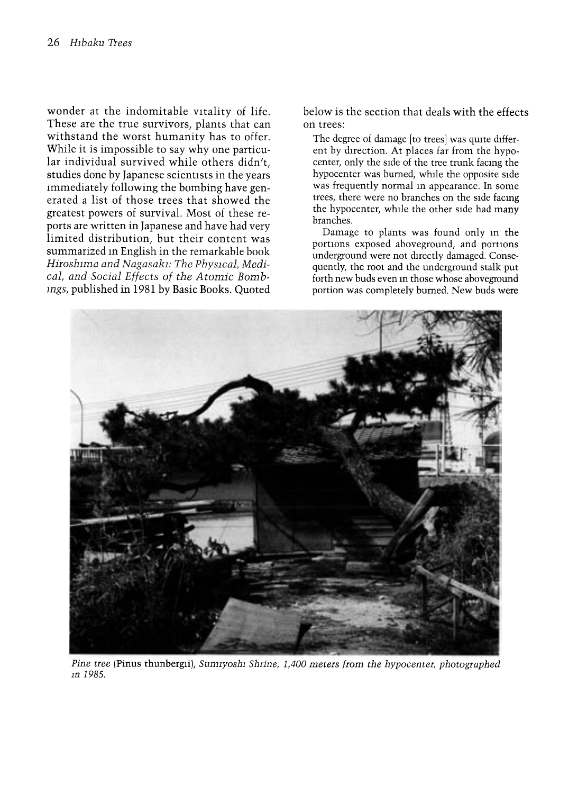wonder at the indomitable vitality of life. These are the true survivors, plants that can withstand the worst humanity has to offer. While it is impossible to say why one particular individual survived while others didn't, studies done by Japanese scientists in the years immediately following the bombing have generated a list of those trees that showed the greatest powers of survival. Most of these reports are written in Japanese and have had very limited distribution, but their content was summarized in English in the remarkable book Hiroshima and Nagasaki: The Physical, Medical, and Social Effects of the Atomic Bombings, published in 1981 by Basic Books. Quoted

below is the section that deals with the effects on trees:

The degree of damage [to trees] was quite different by direction. At places far from the hypocenter, only the side of the tree trunk facing the hypocenter was burned, while the opposite side was frequently normal in appearance. In some trees, there were no branches on the side facing the hypocenter, while the other side had many branches.

Damage to plants was found only in the portions exposed aboveground, and portions underground were not directly damaged. Consequently, the root and the underground stalk put forth new buds even in those whose aboveground portion was completely burned. New buds were



Pine tree (Pinus thunbergii), Sumiyoshi Shrine, 1,400 meters from the hypocenter, photographed in 1985.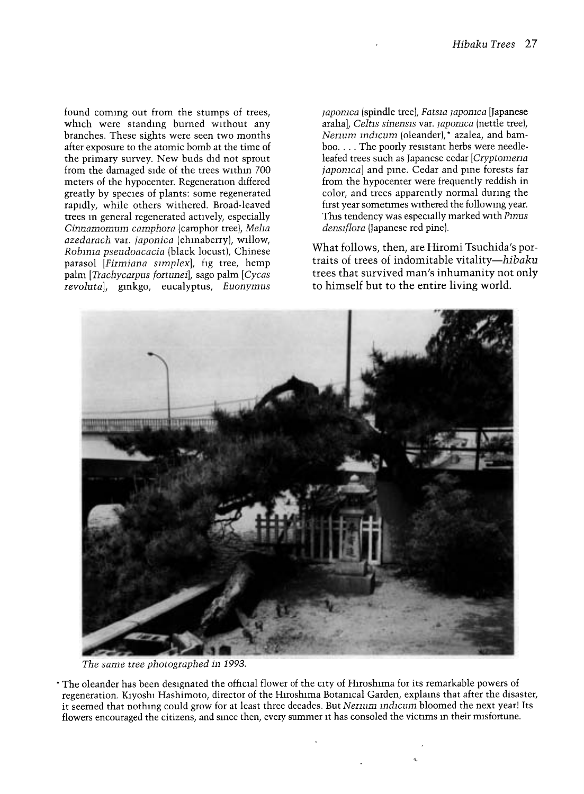found coming out from the stumps of trees, which were standing burned without any branches. These sights were seen two months after exposure to the atomic bomb at the time of the primary survey. New buds did not sprout from the damaged side of the trees within 700 meters of the hypocenter. Regeneration differed greatly by species of plants: some regenerated rapidly, while others withered. Broad-leaved trees in general regenerated actively, especially Cinnamomum camphora (camphor tree), Meha azedarach var. japonica (chmaberry), willow, Robima pseudoacacia (black locust), Chinese parasol [Firmiana simplex], fig tree, hemp palm [Trachycarpus fortunei], sago palm [Cycas revoluta), ginkgo, eucalyptus, Euonymus

japonica (spindle tree), Fatsia japonica [Japanese arahal, Celtis sinensis var. japonica (nettle tree), Nenum mdicum (oleander),\* azalea, and bamboo.... The poorly resistant herbs were needleleafed trees such as Japanese cedar [Cryptomena japonica] and pine. Cedar and pine forests far from the hypocenter were frequently reddish in color, and trees apparently normal during the first year sometimes withered the following year. This tendency was especially marked with Pinus densiflora (Japanese red pine).

What follows, then, are Hiromi Tsuchida's portraits of trees of indomitable vitality-hibaku trees that survived man's inhumanity not only to himself but to the entire living world.



The same tree photographed in 1993.

\* The oleander has been designated the official flower of the city of Hiroshima for its remarkable powers of regeneration. Kiyoshi Hashimoto, director of the Hiroshima Botanical Garden, explains that after the disaster, it seemed that nothing could grow for at least three decades. But Nerium indicum bloomed the next year! Its flowers encouraged the citizens, and since then, every summer it has consoled the victims in their misfortune.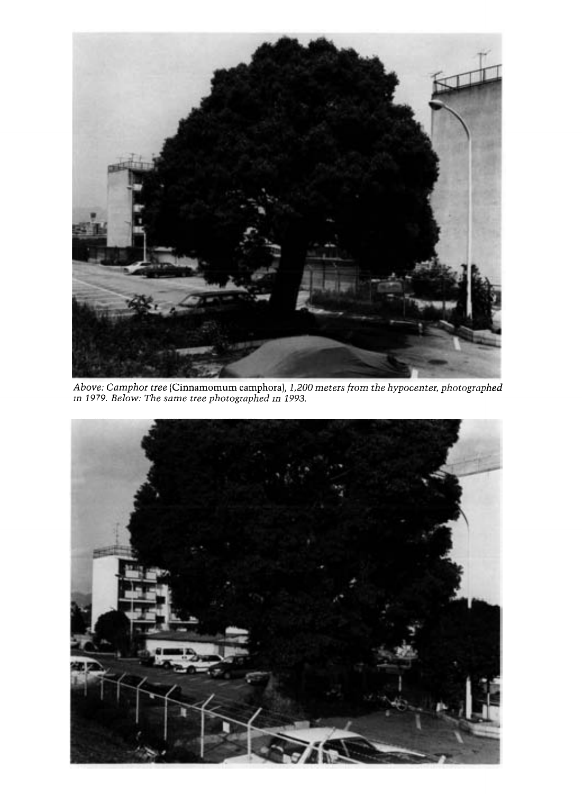

Above: Camphor tree (Cinnamomum camphora), 1,200 meters from the hypocenter, photographed in 1979. Below: The same tree photographed in 1993.